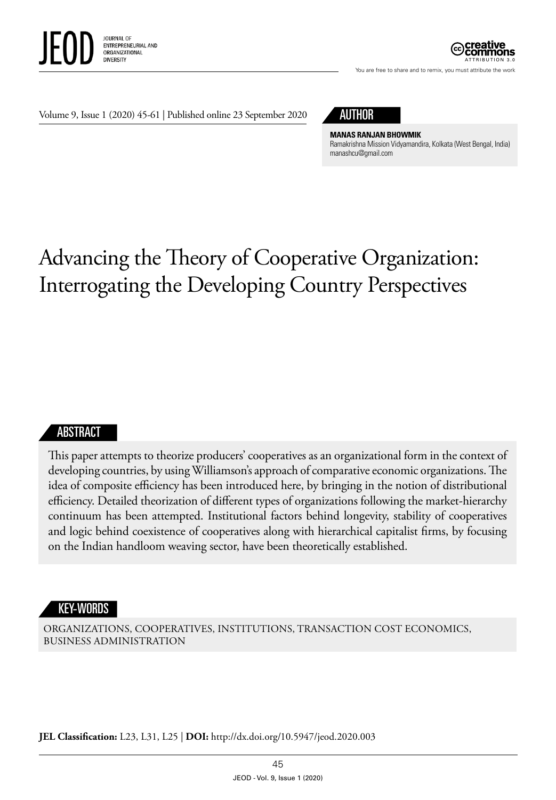



You are free to share and to remix, you must attribute the work

Volume 9, Issue 1 (2020) 45-61 | Published online 23 September 2020



**MANAS RANJAN BHOWMIK** Ramakrishna Mission Vidyamandira, Kolkata (West Bengal, India) [manashcu@gmail.com](mailto:manashcu@gmail.com) 

# Advancing the Theory of Cooperative Organization: Interrogating the Developing Country Perspectives

#### ABSTRACT

This paper attempts to theorize producers' cooperatives as an organizational form in the context of developing countries, by using Williamson's approach of comparative economic organizations. The idea of composite efficiency has been introduced here, by bringing in the notion of distributional efficiency. Detailed theorization of different types of organizations following the market-hierarchy continuum has been attempted. Institutional factors behind longevity, stability of cooperatives and logic behind coexistence of cooperatives along with hierarchical capitalist firms, by focusing on the Indian handloom weaving sector, have been theoretically established.

#### KEY-WORDS

ORGANIZATIONS, COOPERATIVES, INSTITUTIONS, TRANSACTION COST ECONOMICS, BUSINESS ADMINISTRATION

**JEL Classification:** L23, L31, L25 | **DOI:** http:/ /dx.doi.org/ 10.5947/jeod.2020.003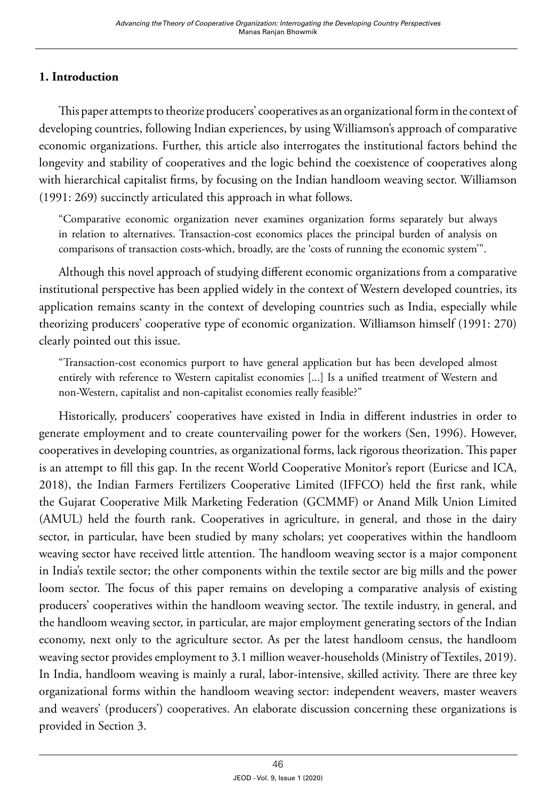## **1. Introduction**

This paper attempts to theorize producers' cooperatives as an organizational form in the context of developing countries, following Indian experiences, by using Williamson's approach of comparative economic organizations. Further, this article also interrogates the institutional factors behind the longevity and stability of cooperatives and the logic behind the coexistence of cooperatives along with hierarchical capitalist firms, by focusing on the Indian handloom weaving sector. Williamson (1991: 269) succinctly articulated this approach in what follows.

"Comparative economic organization never examines organization forms separately but always in relation to alternatives. Transaction-cost economics places the principal burden of analysis on comparisons of transaction costs-which, broadly, are the 'costs of running the economic system'".

Although this novel approach of studying different economic organizations from a comparative institutional perspective has been applied widely in the context of Western developed countries, its application remains scanty in the context of developing countries such as India, especially while theorizing producers' cooperative type of economic organization. Williamson himself (1991: 270) clearly pointed out this issue.

"Transaction-cost economics purport to have general application but has been developed almost entirely with reference to Western capitalist economies [...] Is a unified treatment of Western and non-Western, capitalist and non-capitalist economies really feasible?"

Historically, producers' cooperatives have existed in India in different industries in order to generate employment and to create countervailing power for the workers (Sen, 1996). However, cooperatives in developing countries, as organizational forms, lack rigorous theorization. This paper is an attempt to fill this gap. In the recent World Cooperative Monitor's report (Euricse and ICA, 2018), the Indian Farmers Fertilizers Cooperative Limited (IFFCO) held the first rank, while the Gujarat Cooperative Milk Marketing Federation (GCMMF) or Anand Milk Union Limited (AMUL) held the fourth rank. Cooperatives in agriculture, in general, and those in the dairy sector, in particular, have been studied by many scholars; yet cooperatives within the handloom weaving sector have received little attention. The handloom weaving sector is a major component in India's textile sector; the other components within the textile sector are big mills and the power loom sector. The focus of this paper remains on developing a comparative analysis of existing producers' cooperatives within the handloom weaving sector. The textile industry, in general, and the handloom weaving sector, in particular, are major employment generating sectors of the Indian economy, next only to the agriculture sector. As per the latest handloom census, the handloom weaving sector provides employment to 3.1 million weaver-households (Ministry of Textiles, 2019). In India, handloom weaving is mainly a rural, labor-intensive, skilled activity. There are three key organizational forms within the handloom weaving sector: independent weavers, master weavers and weavers' (producers') cooperatives. An elaborate discussion concerning these organizations is provided in Section 3.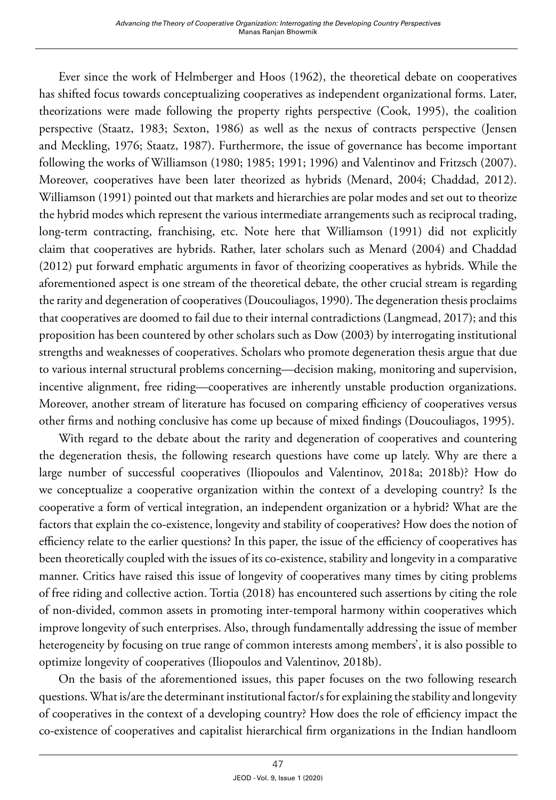Ever since the work of Helmberger and Hoos (1962), the theoretical debate on cooperatives has shifted focus towards conceptualizing cooperatives as independent organizational forms. Later, theorizations were made following the property rights perspective (Cook, 1995), the coalition perspective (Staatz, 1983; Sexton, 1986) as well as the nexus of contracts perspective (Jensen and Meckling, 1976; Staatz, 1987). Furthermore, the issue of governance has become important following the works of Williamson (1980; 1985; 1991; 1996) and Valentinov and Fritzsch (2007). Moreover, cooperatives have been later theorized as hybrids (Menard, 2004; Chaddad, 2012). Williamson (1991) pointed out that markets and hierarchies are polar modes and set out to theorize the hybrid modes which represent the various intermediate arrangements such as reciprocal trading, long-term contracting, franchising, etc. Note here that Williamson (1991) did not explicitly claim that cooperatives are hybrids. Rather, later scholars such as Menard (2004) and Chaddad (2012) put forward emphatic arguments in favor of theorizing cooperatives as hybrids. While the aforementioned aspect is one stream of the theoretical debate, the other crucial stream is regarding the rarity and degeneration of cooperatives (Doucouliagos, 1990). The degeneration thesis proclaims that cooperatives are doomed to fail due to their internal contradictions (Langmead, 2017); and this proposition has been countered by other scholars such as Dow (2003) by interrogating institutional strengths and weaknesses of cooperatives. Scholars who promote degeneration thesis argue that due to various internal structural problems concerning—decision making, monitoring and supervision, incentive alignment, free riding—cooperatives are inherently unstable production organizations. Moreover, another stream of literature has focused on comparing efficiency of cooperatives versus other firms and nothing conclusive has come up because of mixed findings (Doucouliagos, 1995).

With regard to the debate about the rarity and degeneration of cooperatives and countering the degeneration thesis, the following research questions have come up lately. Why are there a large number of successful cooperatives (Iliopoulos and Valentinov, 2018a; 2018b)? How do we conceptualize a cooperative organization within the context of a developing country? Is the cooperative a form of vertical integration, an independent organization or a hybrid? What are the factors that explain the co-existence, longevity and stability of cooperatives? How does the notion of efficiency relate to the earlier questions? In this paper, the issue of the efficiency of cooperatives has been theoretically coupled with the issues of its co-existence, stability and longevity in a comparative manner. Critics have raised this issue of longevity of cooperatives many times by citing problems of free riding and collective action. Tortia (2018) has encountered such assertions by citing the role of non-divided, common assets in promoting inter-temporal harmony within cooperatives which improve longevity of such enterprises. Also, through fundamentally addressing the issue of member heterogeneity by focusing on true range of common interests among members', it is also possible to optimize longevity of cooperatives (Iliopoulos and Valentinov, 2018b).

On the basis of the aforementioned issues, this paper focuses on the two following research questions. What is/are the determinant institutional factor/s for explaining the stability and longevity of cooperatives in the context of a developing country? How does the role of efficiency impact the co-existence of cooperatives and capitalist hierarchical firm organizations in the Indian handloom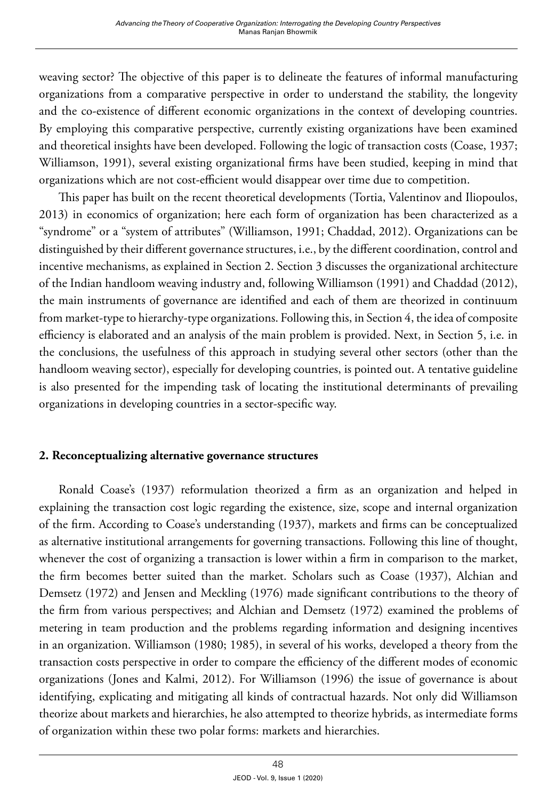weaving sector? The objective of this paper is to delineate the features of informal manufacturing organizations from a comparative perspective in order to understand the stability, the longevity and the co-existence of different economic organizations in the context of developing countries. By employing this comparative perspective, currently existing organizations have been examined and theoretical insights have been developed. Following the logic of transaction costs (Coase, 1937; Williamson, 1991), several existing organizational firms have been studied, keeping in mind that organizations which are not cost-efficient would disappear over time due to competition.

This paper has built on the recent theoretical developments (Tortia, Valentinov and Iliopoulos, 2013) in economics of organization; here each form of organization has been characterized as a "syndrome" or a "system of attributes" (Williamson, 1991; Chaddad, 2012). Organizations can be distinguished by their different governance structures, i.e., by the different coordination, control and incentive mechanisms, as explained in Section 2. Section 3 discusses the organizational architecture of the Indian handloom weaving industry and, following Williamson (1991) and Chaddad (2012), the main instruments of governance are identified and each of them are theorized in continuum from market-type to hierarchy-type organizations. Following this, in Section 4, the idea of composite efficiency is elaborated and an analysis of the main problem is provided. Next, in Section 5, i.e. in the conclusions, the usefulness of this approach in studying several other sectors (other than the handloom weaving sector), especially for developing countries, is pointed out. A tentative guideline is also presented for the impending task of locating the institutional determinants of prevailing organizations in developing countries in a sector-specific way.

#### **2. Reconceptualizing alternative governance structures**

Ronald Coase's (1937) reformulation theorized a firm as an organization and helped in explaining the transaction cost logic regarding the existence, size, scope and internal organization of the firm. According to Coase's understanding (1937), markets and firms can be conceptualized as alternative institutional arrangements for governing transactions. Following this line of thought, whenever the cost of organizing a transaction is lower within a firm in comparison to the market, the firm becomes better suited than the market. Scholars such as Coase (1937), Alchian and Demsetz (1972) and Jensen and Meckling (1976) made significant contributions to the theory of the firm from various perspectives; and Alchian and Demsetz (1972) examined the problems of metering in team production and the problems regarding information and designing incentives in an organization. Williamson (1980; 1985), in several of his works, developed a theory from the transaction costs perspective in order to compare the efficiency of the different modes of economic organizations (Jones and Kalmi, 2012). For Williamson (1996) the issue of governance is about identifying, explicating and mitigating all kinds of contractual hazards. Not only did Williamson theorize about markets and hierarchies, he also attempted to theorize hybrids, as intermediate forms of organization within these two polar forms: markets and hierarchies.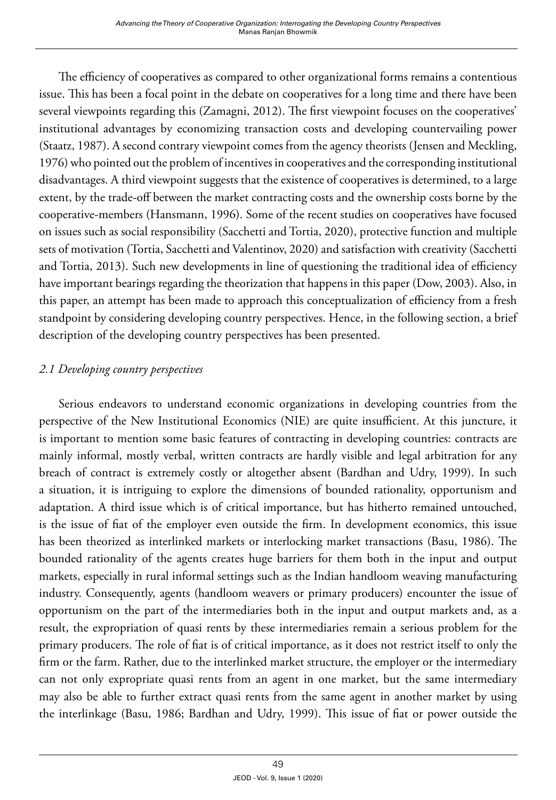The efficiency of cooperatives as compared to other organizational forms remains a contentious issue. This has been a focal point in the debate on cooperatives for a long time and there have been several viewpoints regarding this (Zamagni, 2012). The first viewpoint focuses on the cooperatives' institutional advantages by economizing transaction costs and developing countervailing power (Staatz, 1987). A second contrary viewpoint comes from the agency theorists (Jensen and Meckling, 1976) who pointed out the problem of incentives in cooperatives and the corresponding institutional disadvantages. A third viewpoint suggests that the existence of cooperatives is determined, to a large extent, by the trade-off between the market contracting costs and the ownership costs borne by the cooperative-members (Hansmann, 1996). Some of the recent studies on cooperatives have focused on issues such as social responsibility (Sacchetti and Tortia, 2020), protective function and multiple sets of motivation (Tortia, Sacchetti and Valentinov, 2020) and satisfaction with creativity (Sacchetti and Tortia, 2013). Such new developments in line of questioning the traditional idea of efficiency have important bearings regarding the theorization that happens in this paper (Dow, 2003). Also, in this paper, an attempt has been made to approach this conceptualization of efficiency from a fresh standpoint by considering developing country perspectives. Hence, in the following section, a brief description of the developing country perspectives has been presented.

## *2.1 Developing country perspectives*

Serious endeavors to understand economic organizations in developing countries from the perspective of the New Institutional Economics (NIE) are quite insufficient. At this juncture, it is important to mention some basic features of contracting in developing countries: contracts are mainly informal, mostly verbal, written contracts are hardly visible and legal arbitration for any breach of contract is extremely costly or altogether absent (Bardhan and Udry, 1999). In such a situation, it is intriguing to explore the dimensions of bounded rationality, opportunism and adaptation. A third issue which is of critical importance, but has hitherto remained untouched, is the issue of fiat of the employer even outside the firm. In development economics, this issue has been theorized as interlinked markets or interlocking market transactions (Basu, 1986). The bounded rationality of the agents creates huge barriers for them both in the input and output markets, especially in rural informal settings such as the Indian handloom weaving manufacturing industry. Consequently, agents (handloom weavers or primary producers) encounter the issue of opportunism on the part of the intermediaries both in the input and output markets and, as a result, the expropriation of quasi rents by these intermediaries remain a serious problem for the primary producers. The role of fiat is of critical importance, as it does not restrict itself to only the firm or the farm. Rather, due to the interlinked market structure, the employer or the intermediary can not only expropriate quasi rents from an agent in one market, but the same intermediary may also be able to further extract quasi rents from the same agent in another market by using the interlinkage (Basu, 1986; Bardhan and Udry, 1999). This issue of fiat or power outside the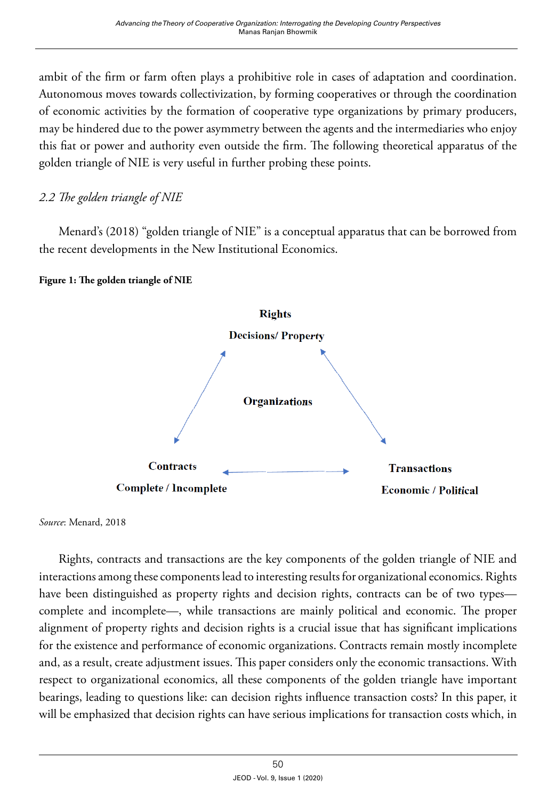ambit of the firm or farm often plays a prohibitive role in cases of adaptation and coordination. Autonomous moves towards collectivization, by forming cooperatives or through the coordination of economic activities by the formation of cooperative type organizations by primary producers, may be hindered due to the power asymmetry between the agents and the intermediaries who enjoy this fiat or power and authority even outside the firm. The following theoretical apparatus of the golden triangle of NIE is very useful in further probing these points.

## *2.2 The golden triangle of NIE*

Menard's (2018) "golden triangle of NIE" is a conceptual apparatus that can be borrowed from the recent developments in the New Institutional Economics.

#### **Figure 1: The golden triangle of NIE**



*Source*: Menard, 2018

Rights, contracts and transactions are the key components of the golden triangle of NIE and interactions among these components lead to interesting results for organizational economics. Rights have been distinguished as property rights and decision rights, contracts can be of two types complete and incomplete—, while transactions are mainly political and economic. The proper alignment of property rights and decision rights is a crucial issue that has significant implications for the existence and performance of economic organizations. Contracts remain mostly incomplete and, as a result, create adjustment issues. This paper considers only the economic transactions. With respect to organizational economics, all these components of the golden triangle have important bearings, leading to questions like: can decision rights influence transaction costs? In this paper, it will be emphasized that decision rights can have serious implications for transaction costs which, in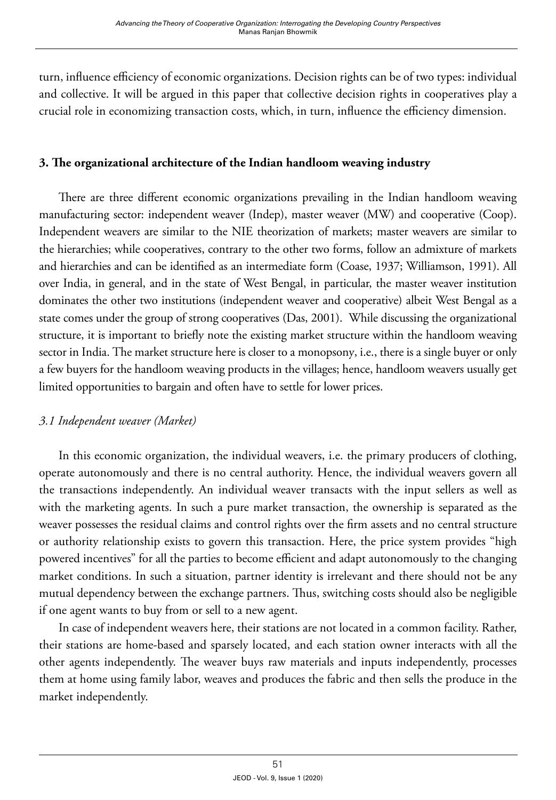turn, influence efficiency of economic organizations. Decision rights can be of two types: individual and collective. It will be argued in this paper that collective decision rights in cooperatives play a crucial role in economizing transaction costs, which, in turn, influence the efficiency dimension.

#### **3. The organizational architecture of the Indian handloom weaving industry**

There are three different economic organizations prevailing in the Indian handloom weaving manufacturing sector: independent weaver (Indep), master weaver (MW) and cooperative (Coop). Independent weavers are similar to the NIE theorization of markets; master weavers are similar to the hierarchies; while cooperatives, contrary to the other two forms, follow an admixture of markets and hierarchies and can be identified as an intermediate form (Coase, 1937; Williamson, 1991). All over India, in general, and in the state of West Bengal, in particular, the master weaver institution dominates the other two institutions (independent weaver and cooperative) albeit West Bengal as a state comes under the group of strong cooperatives (Das, 2001). While discussing the organizational structure, it is important to briefly note the existing market structure within the handloom weaving sector in India. The market structure here is closer to a monopsony, i.e., there is a single buyer or only a few buyers for the handloom weaving products in the villages; hence, handloom weavers usually get limited opportunities to bargain and often have to settle for lower prices.

#### *3.1 Independent weaver (Market)*

In this economic organization, the individual weavers, i.e. the primary producers of clothing, operate autonomously and there is no central authority. Hence, the individual weavers govern all the transactions independently. An individual weaver transacts with the input sellers as well as with the marketing agents. In such a pure market transaction, the ownership is separated as the weaver possesses the residual claims and control rights over the firm assets and no central structure or authority relationship exists to govern this transaction. Here, the price system provides "high powered incentives" for all the parties to become efficient and adapt autonomously to the changing market conditions. In such a situation, partner identity is irrelevant and there should not be any mutual dependency between the exchange partners. Thus, switching costs should also be negligible if one agent wants to buy from or sell to a new agent.

In case of independent weavers here, their stations are not located in a common facility. Rather, their stations are home-based and sparsely located, and each station owner interacts with all the other agents independently. The weaver buys raw materials and inputs independently, processes them at home using family labor, weaves and produces the fabric and then sells the produce in the market independently.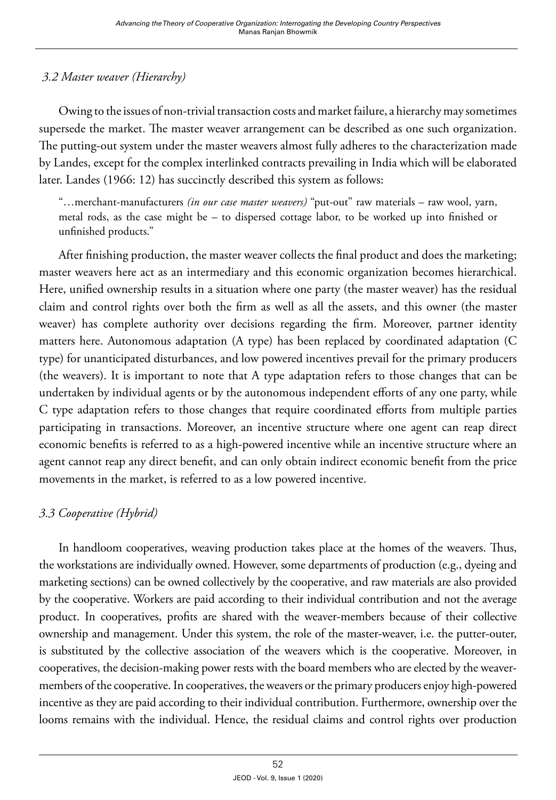## *3.2 Master weaver (Hierarchy)*

Owing to the issues of non-trivial transaction costs and market failure, a hierarchy may sometimes supersede the market. The master weaver arrangement can be described as one such organization. The putting-out system under the master weavers almost fully adheres to the characterization made by Landes, except for the complex interlinked contracts prevailing in India which will be elaborated later. Landes (1966: 12) has succinctly described this system as follows:

"…merchant-manufacturers *(in our case master weavers)* "put-out" raw materials – raw wool, yarn, metal rods, as the case might be – to dispersed cottage labor, to be worked up into finished or unfinished products."

After finishing production, the master weaver collects the final product and does the marketing; master weavers here act as an intermediary and this economic organization becomes hierarchical. Here, unified ownership results in a situation where one party (the master weaver) has the residual claim and control rights over both the firm as well as all the assets, and this owner (the master weaver) has complete authority over decisions regarding the firm. Moreover, partner identity matters here. Autonomous adaptation (A type) has been replaced by coordinated adaptation (C type) for unanticipated disturbances, and low powered incentives prevail for the primary producers (the weavers). It is important to note that A type adaptation refers to those changes that can be undertaken by individual agents or by the autonomous independent efforts of any one party, while C type adaptation refers to those changes that require coordinated efforts from multiple parties participating in transactions. Moreover, an incentive structure where one agent can reap direct economic benefits is referred to as a high-powered incentive while an incentive structure where an agent cannot reap any direct benefit, and can only obtain indirect economic benefit from the price movements in the market, is referred to as a low powered incentive.

## *3.3 Cooperative (Hybrid)*

In handloom cooperatives, weaving production takes place at the homes of the weavers. Thus, the workstations are individually owned. However, some departments of production (e.g., dyeing and marketing sections) can be owned collectively by the cooperative, and raw materials are also provided by the cooperative. Workers are paid according to their individual contribution and not the average product. In cooperatives, profits are shared with the weaver-members because of their collective ownership and management. Under this system, the role of the master-weaver, i.e. the putter-outer, is substituted by the collective association of the weavers which is the cooperative. Moreover, in cooperatives, the decision-making power rests with the board members who are elected by the weavermembers of the cooperative. In cooperatives, the weavers or the primary producers enjoy high-powered incentive as they are paid according to their individual contribution. Furthermore, ownership over the looms remains with the individual. Hence, the residual claims and control rights over production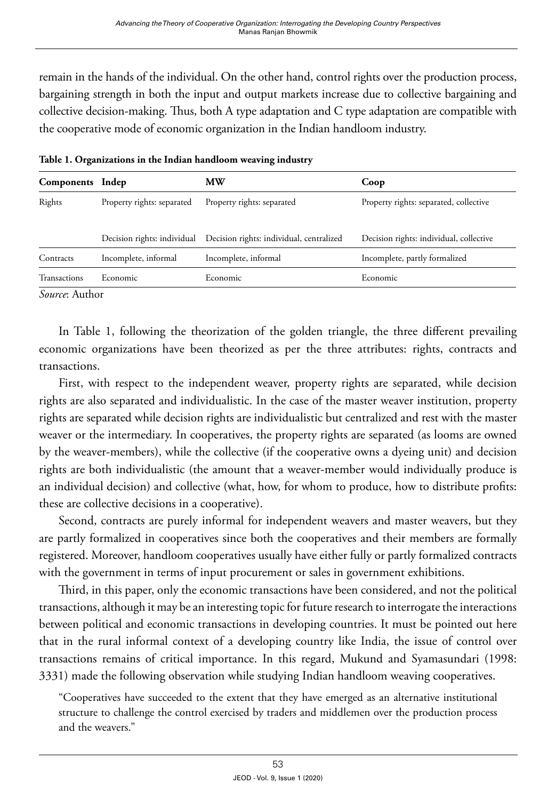remain in the hands of the individual. On the other hand, control rights over the production process, bargaining strength in both the input and output markets increase due to collective bargaining and collective decision-making. Thus, both A type adaptation and C type adaptation are compatible with the cooperative mode of economic organization in the Indian handloom industry.

| Components Indep |                             | МW                                       | Coop                                    |
|------------------|-----------------------------|------------------------------------------|-----------------------------------------|
| Rights           | Property rights: separated  | Property rights: separated               | Property rights: separated, collective  |
|                  | Decision rights: individual | Decision rights: individual, centralized | Decision rights: individual, collective |
| Contracts        | Incomplete, informal        | Incomplete, informal                     | Incomplete, partly formalized           |
| Transactions     | Economic                    | Economic.                                | Economic                                |

**Table 1. Organizations in the Indian handloom weaving industry**

*Source*: Author

In Table 1, following the theorization of the golden triangle, the three different prevailing economic organizations have been theorized as per the three attributes: rights, contracts and transactions.

First, with respect to the independent weaver, property rights are separated, while decision rights are also separated and individualistic. In the case of the master weaver institution, property rights are separated while decision rights are individualistic but centralized and rest with the master weaver or the intermediary. In cooperatives, the property rights are separated (as looms are owned by the weaver-members), while the collective (if the cooperative owns a dyeing unit) and decision rights are both individualistic (the amount that a weaver-member would individually produce is an individual decision) and collective (what, how, for whom to produce, how to distribute profits: these are collective decisions in a cooperative).

Second, contracts are purely informal for independent weavers and master weavers, but they are partly formalized in cooperatives since both the cooperatives and their members are formally registered. Moreover, handloom cooperatives usually have either fully or partly formalized contracts with the government in terms of input procurement or sales in government exhibitions.

Third, in this paper, only the economic transactions have been considered, and not the political transactions, although it may be an interesting topic for future research to interrogate the interactions between political and economic transactions in developing countries. It must be pointed out here that in the rural informal context of a developing country like India, the issue of control over transactions remains of critical importance. In this regard, Mukund and Syamasundari (1998: 3331) made the following observation while studying Indian handloom weaving cooperatives.

"Cooperatives have succeeded to the extent that they have emerged as an alternative institutional structure to challenge the control exercised by traders and middlemen over the production process and the weavers."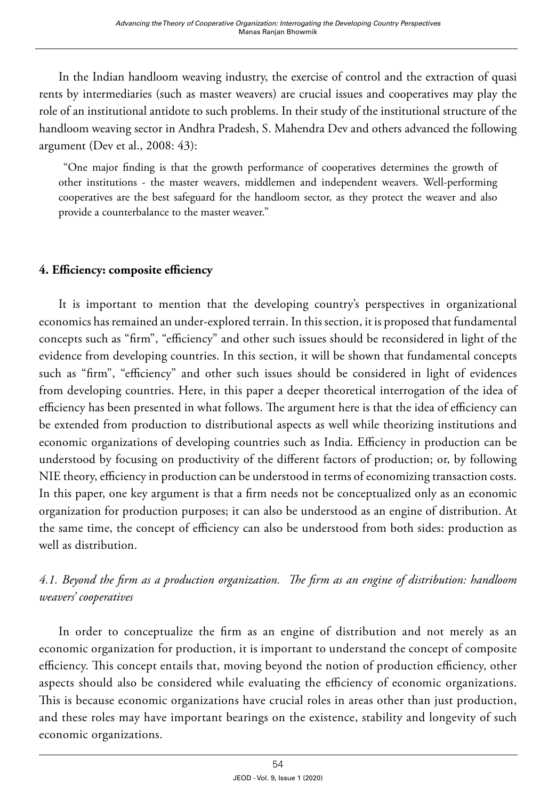In the Indian handloom weaving industry, the exercise of control and the extraction of quasi rents by intermediaries (such as master weavers) are crucial issues and cooperatives may play the role of an institutional antidote to such problems. In their study of the institutional structure of the handloom weaving sector in Andhra Pradesh, S. Mahendra Dev and others advanced the following argument (Dev et al., 2008: 43):

 "One major finding is that the growth performance of cooperatives determines the growth of other institutions - the master weavers, middlemen and independent weavers. Well-performing cooperatives are the best safeguard for the handloom sector, as they protect the weaver and also provide a counterbalance to the master weaver."

## **4. Efficiency: composite efficiency**

It is important to mention that the developing country's perspectives in organizational economics has remained an under-explored terrain. In this section, it is proposed that fundamental concepts such as "firm", "efficiency" and other such issues should be reconsidered in light of the evidence from developing countries. In this section, it will be shown that fundamental concepts such as "firm", "efficiency" and other such issues should be considered in light of evidences from developing countries. Here, in this paper a deeper theoretical interrogation of the idea of efficiency has been presented in what follows. The argument here is that the idea of efficiency can be extended from production to distributional aspects as well while theorizing institutions and economic organizations of developing countries such as India. Efficiency in production can be understood by focusing on productivity of the different factors of production; or, by following NIE theory, efficiency in production can be understood in terms of economizing transaction costs. In this paper, one key argument is that a firm needs not be conceptualized only as an economic organization for production purposes; it can also be understood as an engine of distribution. At the same time, the concept of efficiency can also be understood from both sides: production as well as distribution.

## *4.1. Beyond the firm as a production organization. The firm as an engine of distribution: handloom weavers' cooperatives*

In order to conceptualize the firm as an engine of distribution and not merely as an economic organization for production, it is important to understand the concept of composite efficiency. This concept entails that, moving beyond the notion of production efficiency, other aspects should also be considered while evaluating the efficiency of economic organizations. This is because economic organizations have crucial roles in areas other than just production, and these roles may have important bearings on the existence, stability and longevity of such economic organizations.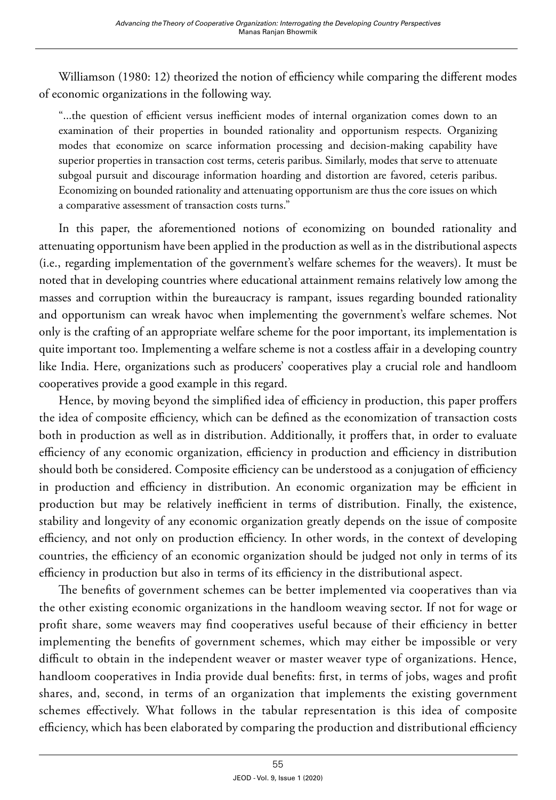Williamson (1980: 12) theorized the notion of efficiency while comparing the different modes of economic organizations in the following way.

"...the question of efficient versus inefficient modes of internal organization comes down to an examination of their properties in bounded rationality and opportunism respects. Organizing modes that economize on scarce information processing and decision-making capability have superior properties in transaction cost terms, ceteris paribus. Similarly, modes that serve to attenuate subgoal pursuit and discourage information hoarding and distortion are favored, ceteris paribus. Economizing on bounded rationality and attenuating opportunism are thus the core issues on which a comparative assessment of transaction costs turns."

In this paper, the aforementioned notions of economizing on bounded rationality and attenuating opportunism have been applied in the production as well as in the distributional aspects (i.e., regarding implementation of the government's welfare schemes for the weavers). It must be noted that in developing countries where educational attainment remains relatively low among the masses and corruption within the bureaucracy is rampant, issues regarding bounded rationality and opportunism can wreak havoc when implementing the government's welfare schemes. Not only is the crafting of an appropriate welfare scheme for the poor important, its implementation is quite important too. Implementing a welfare scheme is not a costless affair in a developing country like India. Here, organizations such as producers' cooperatives play a crucial role and handloom cooperatives provide a good example in this regard.

Hence, by moving beyond the simplified idea of efficiency in production, this paper proffers the idea of composite efficiency, which can be defined as the economization of transaction costs both in production as well as in distribution. Additionally, it proffers that, in order to evaluate efficiency of any economic organization, efficiency in production and efficiency in distribution should both be considered. Composite efficiency can be understood as a conjugation of efficiency in production and efficiency in distribution. An economic organization may be efficient in production but may be relatively inefficient in terms of distribution. Finally, the existence, stability and longevity of any economic organization greatly depends on the issue of composite efficiency, and not only on production efficiency. In other words, in the context of developing countries, the efficiency of an economic organization should be judged not only in terms of its efficiency in production but also in terms of its efficiency in the distributional aspect.

The benefits of government schemes can be better implemented via cooperatives than via the other existing economic organizations in the handloom weaving sector. If not for wage or profit share, some weavers may find cooperatives useful because of their efficiency in better implementing the benefits of government schemes, which may either be impossible or very difficult to obtain in the independent weaver or master weaver type of organizations. Hence, handloom cooperatives in India provide dual benefits: first, in terms of jobs, wages and profit shares, and, second, in terms of an organization that implements the existing government schemes effectively. What follows in the tabular representation is this idea of composite efficiency, which has been elaborated by comparing the production and distributional efficiency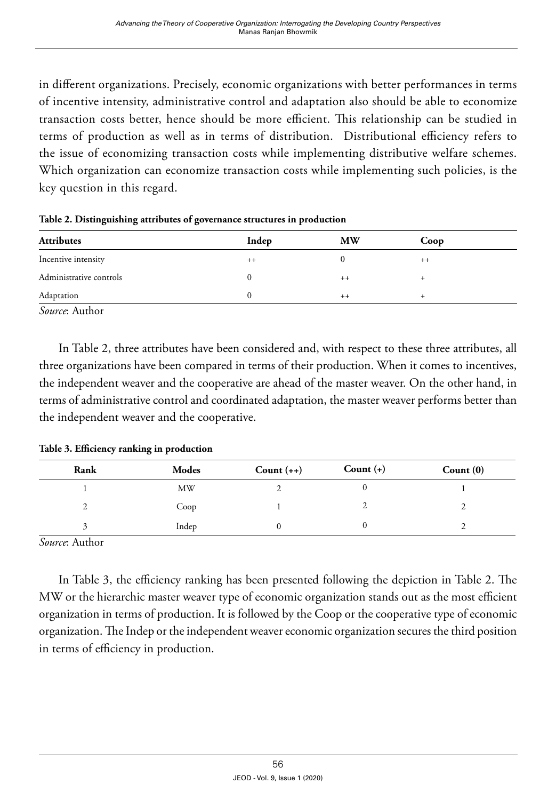in different organizations. Precisely, economic organizations with better performances in terms of incentive intensity, administrative control and adaptation also should be able to economize transaction costs better, hence should be more efficient. This relationship can be studied in terms of production as well as in terms of distribution. Distributional efficiency refers to the issue of economizing transaction costs while implementing distributive welfare schemes. Which organization can economize transaction costs while implementing such policies, is the key question in this regard.

| <b>Attributes</b>                                                                                               | Indep | <b>MW</b> | Coop |  |
|-----------------------------------------------------------------------------------------------------------------|-------|-----------|------|--|
| Incentive intensity                                                                                             | $++$  |           | $++$ |  |
| Administrative controls                                                                                         |       | $++$      |      |  |
| Adaptation                                                                                                      |       | $++$      |      |  |
| the contract of the contract of the contract of the contract of the contract of the contract of the contract of |       |           |      |  |

**Table 2. Distinguishing attributes of governance structures in production**

*Source*: Author

In Table 2, three attributes have been considered and, with respect to these three attributes, all three organizations have been compared in terms of their production. When it comes to incentives, the independent weaver and the cooperative are ahead of the master weaver. On the other hand, in terms of administrative control and coordinated adaptation, the master weaver performs better than the independent weaver and the cooperative.

**Table 3. Efficiency ranking in production**

| Rank | Modes | Count $(++)$ | Count $(+)$ | Count $(0)$ |
|------|-------|--------------|-------------|-------------|
|      | MW    |              |             |             |
|      | Coop  |              |             |             |
|      | Indep |              |             |             |

*Source*: Author

In Table 3, the efficiency ranking has been presented following the depiction in Table 2. The MW or the hierarchic master weaver type of economic organization stands out as the most efficient organization in terms of production. It is followed by the Coop or the cooperative type of economic organization. The Indep or the independent weaver economic organization secures the third position in terms of efficiency in production.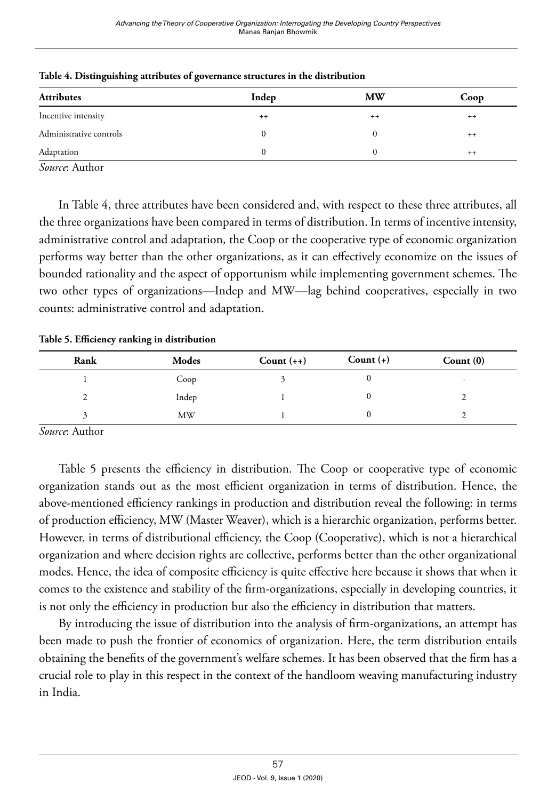| <b>Attributes</b>       | Indep | <b>MW</b> | Coop |
|-------------------------|-------|-----------|------|
| Incentive intensity     | $++$  | $++$      | $++$ |
| Administrative controls |       |           | $++$ |
| Adaptation              |       |           | $++$ |

**Table 4. Distinguishing attributes of governance structures in the distribution** 

*Source*: Author

In Table 4, three attributes have been considered and, with respect to these three attributes, all the three organizations have been compared in terms of distribution. In terms of incentive intensity, administrative control and adaptation, the Coop or the cooperative type of economic organization performs way better than the other organizations, as it can effectively economize on the issues of bounded rationality and the aspect of opportunism while implementing government schemes. The two other types of organizations—Indep and MW—lag behind cooperatives, especially in two counts: administrative control and adaptation.

**Table 5. Efficiency ranking in distribution**

| Rank | Modes | Count $(++)$ | Count $(+)$ | Count $(0)$              |
|------|-------|--------------|-------------|--------------------------|
|      | Coop  |              |             | $\overline{\phantom{0}}$ |
| ∸    | Indep |              |             |                          |
|      | MW    |              |             |                          |

*Source*: Author

Table 5 presents the efficiency in distribution. The Coop or cooperative type of economic organization stands out as the most efficient organization in terms of distribution. Hence, the above-mentioned efficiency rankings in production and distribution reveal the following: in terms of production efficiency, MW (Master Weaver), which is a hierarchic organization, performs better. However, in terms of distributional efficiency, the Coop (Cooperative), which is not a hierarchical organization and where decision rights are collective, performs better than the other organizational modes. Hence, the idea of composite efficiency is quite effective here because it shows that when it comes to the existence and stability of the firm-organizations, especially in developing countries, it is not only the efficiency in production but also the efficiency in distribution that matters.

By introducing the issue of distribution into the analysis of firm-organizations, an attempt has been made to push the frontier of economics of organization. Here, the term distribution entails obtaining the benefits of the government's welfare schemes. It has been observed that the firm has a crucial role to play in this respect in the context of the handloom weaving manufacturing industry in India.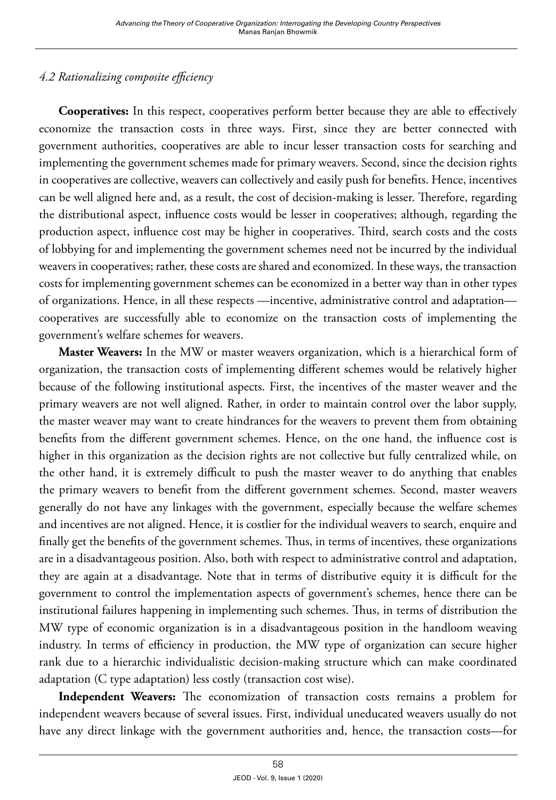## *4.2 Rationalizing composite efficiency*

**Cooperatives:** In this respect, cooperatives perform better because they are able to effectively economize the transaction costs in three ways. First, since they are better connected with government authorities, cooperatives are able to incur lesser transaction costs for searching and implementing the government schemes made for primary weavers. Second, since the decision rights in cooperatives are collective, weavers can collectively and easily push for benefits. Hence, incentives can be well aligned here and, as a result, the cost of decision-making is lesser. Therefore, regarding the distributional aspect, influence costs would be lesser in cooperatives; although, regarding the production aspect, influence cost may be higher in cooperatives. Third, search costs and the costs of lobbying for and implementing the government schemes need not be incurred by the individual weavers in cooperatives; rather, these costs are shared and economized. In these ways, the transaction costs for implementing government schemes can be economized in a better way than in other types of organizations. Hence, in all these respects —incentive, administrative control and adaptation cooperatives are successfully able to economize on the transaction costs of implementing the government's welfare schemes for weavers.

**Master Weavers:** In the MW or master weavers organization, which is a hierarchical form of organization, the transaction costs of implementing different schemes would be relatively higher because of the following institutional aspects. First, the incentives of the master weaver and the primary weavers are not well aligned. Rather, in order to maintain control over the labor supply, the master weaver may want to create hindrances for the weavers to prevent them from obtaining benefits from the different government schemes. Hence, on the one hand, the influence cost is higher in this organization as the decision rights are not collective but fully centralized while, on the other hand, it is extremely difficult to push the master weaver to do anything that enables the primary weavers to benefit from the different government schemes. Second, master weavers generally do not have any linkages with the government, especially because the welfare schemes and incentives are not aligned. Hence, it is costlier for the individual weavers to search, enquire and finally get the benefits of the government schemes. Thus, in terms of incentives, these organizations are in a disadvantageous position. Also, both with respect to administrative control and adaptation, they are again at a disadvantage. Note that in terms of distributive equity it is difficult for the government to control the implementation aspects of government's schemes, hence there can be institutional failures happening in implementing such schemes. Thus, in terms of distribution the MW type of economic organization is in a disadvantageous position in the handloom weaving industry. In terms of efficiency in production, the MW type of organization can secure higher rank due to a hierarchic individualistic decision-making structure which can make coordinated adaptation (C type adaptation) less costly (transaction cost wise).

**Independent Weavers:** The economization of transaction costs remains a problem for independent weavers because of several issues. First, individual uneducated weavers usually do not have any direct linkage with the government authorities and, hence, the transaction costs—for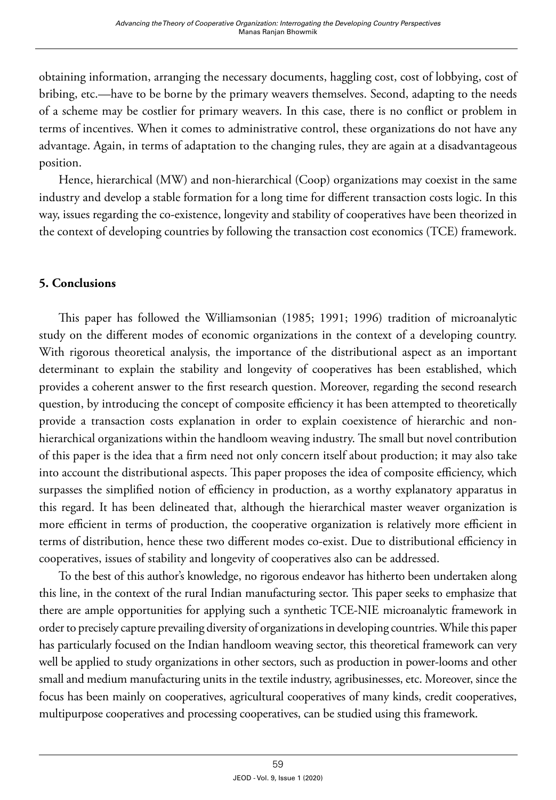obtaining information, arranging the necessary documents, haggling cost, cost of lobbying, cost of bribing, etc.—have to be borne by the primary weavers themselves. Second, adapting to the needs of a scheme may be costlier for primary weavers. In this case, there is no conflict or problem in terms of incentives. When it comes to administrative control, these organizations do not have any advantage. Again, in terms of adaptation to the changing rules, they are again at a disadvantageous position.

Hence, hierarchical (MW) and non-hierarchical (Coop) organizations may coexist in the same industry and develop a stable formation for a long time for different transaction costs logic. In this way, issues regarding the co-existence, longevity and stability of cooperatives have been theorized in the context of developing countries by following the transaction cost economics (TCE) framework.

## **5. Conclusions**

This paper has followed the Williamsonian (1985; 1991; 1996) tradition of microanalytic study on the different modes of economic organizations in the context of a developing country. With rigorous theoretical analysis, the importance of the distributional aspect as an important determinant to explain the stability and longevity of cooperatives has been established, which provides a coherent answer to the first research question. Moreover, regarding the second research question, by introducing the concept of composite efficiency it has been attempted to theoretically provide a transaction costs explanation in order to explain coexistence of hierarchic and nonhierarchical organizations within the handloom weaving industry. The small but novel contribution of this paper is the idea that a firm need not only concern itself about production; it may also take into account the distributional aspects. This paper proposes the idea of composite efficiency, which surpasses the simplified notion of efficiency in production, as a worthy explanatory apparatus in this regard. It has been delineated that, although the hierarchical master weaver organization is more efficient in terms of production, the cooperative organization is relatively more efficient in terms of distribution, hence these two different modes co-exist. Due to distributional efficiency in cooperatives, issues of stability and longevity of cooperatives also can be addressed.

To the best of this author's knowledge, no rigorous endeavor has hitherto been undertaken along this line, in the context of the rural Indian manufacturing sector. This paper seeks to emphasize that there are ample opportunities for applying such a synthetic TCE-NIE microanalytic framework in order to precisely capture prevailing diversity of organizations in developing countries. While this paper has particularly focused on the Indian handloom weaving sector, this theoretical framework can very well be applied to study organizations in other sectors, such as production in power-looms and other small and medium manufacturing units in the textile industry, agribusinesses, etc. Moreover, since the focus has been mainly on cooperatives, agricultural cooperatives of many kinds, credit cooperatives, multipurpose cooperatives and processing cooperatives, can be studied using this framework.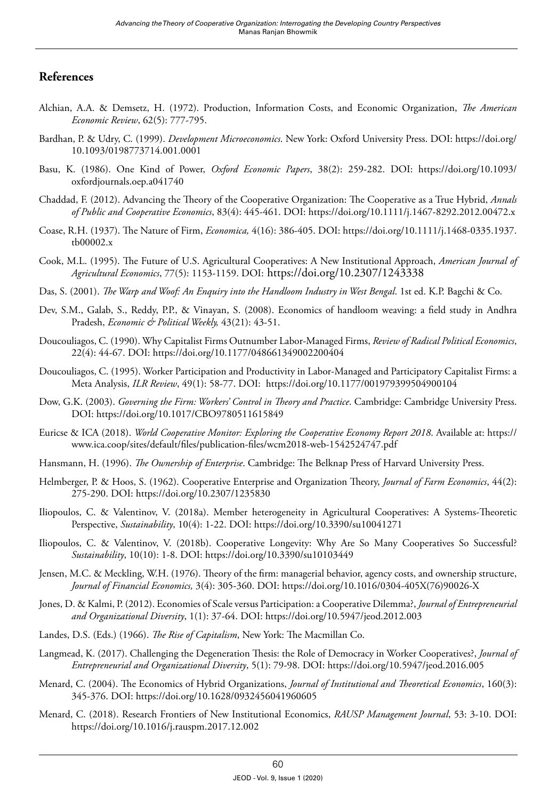#### **References**

- Alchian, A.A. & Demsetz, H. (1972). Production, Information Costs, and Economic Organization, *The American Economic Review*, 62(5): 777-795.
- Bardhan, P. & Udry, C. (1999). *Development Microeconomics*. New York: Oxford University Press. DOI: [https://doi.org/](https://doi.org/10.1093/0198773714.001.0001) [10.1093/0198773714.001.0001](https://doi.org/10.1093/0198773714.001.0001)
- Basu, K. (1986). One Kind of Power, *Oxford Economic Papers*, 38(2): 259-282. DOI: [https://doi.org/10.1093/](https://doi.org/10.1093/oxfordjournals.oep.a041740) [oxfordjournals.oep.a041740](https://doi.org/10.1093/oxfordjournals.oep.a041740)
- Chaddad, F. (2012). Advancing the Theory of the Cooperative Organization: The Cooperative as a True Hybrid, *Annals of Public and Cooperative Economics*, 83(4): 445-461. DOI: <https://doi.org/10.1111/j.1467-8292.2012.00472.x>
- Coase, R.H. (1937). The Nature of Firm, *Economica,* 4(16): 386-405. DOI: [https://doi.org/10.1111/j.1468-0335.1937.](https://doi.org/10.1111/j.1468-0335.1937.tb00002.x) [tb00002.x](https://doi.org/10.1111/j.1468-0335.1937.tb00002.x)
- Cook, M.L. (1995). The Future of U.S. Agricultural Cooperatives: A New Institutional Approach, *American Journal of Agricultural Economics*, 77(5): 1153-1159. DOI: <https://doi.org/10.2307/1243338>
- Das, S. (2001). *The Warp and Woof: An Enquiry into the Handloom Industry in West Bengal*. 1st ed. K.P. Bagchi & Co.
- Dev, S.M., Galab, S., Reddy, P.P., & Vinayan, S. (2008). Economics of handloom weaving: a field study in Andhra Pradesh, *Economic & Political Weekly*, 43(21): 43-51.
- Doucouliagos, C. (1990). Why Capitalist Firms Outnumber Labor-Managed Firms, *Review of Radical Political Economics*, 22(4): 44-67. DOI:<https://doi.org/10.1177/048661349002200404>
- Doucouliagos, C. (1995). Worker Participation and Productivity in Labor-Managed and Participatory Capitalist Firms: a Meta Analysis, *ILR Review*, 49(1): 58-77. DOI: <https://doi.org/10.1177/001979399504900104>
- Dow, G.K. (2003). *Governing the Firm: Workers' Control in Theory and Practice*. Cambridge: Cambridge University Press. DOI: https://doi.org/10.1017/CBO9780511615849
- Euricse & ICA (2018). *World Cooperative Monitor: Exploring the Cooperative Economy Report 2018*. Available at: [https://](https://www.ica.coop/sites/default/files/publication-files/wcm2018-web-1542524747.pdf) [www.ica.coop/sites/default/files/publication-files/wcm2018-web-1542524747.pdf](https://www.ica.coop/sites/default/files/publication-files/wcm2018-web-1542524747.pdf)
- Hansmann, H. (1996). *The Ownership of Enterprise*. Cambridge: The Belknap Press of Harvard University Press.
- Helmberger, P. & Hoos, S. (1962). Cooperative Enterprise and Organization Theory, *Journal of Farm Economics*, 44(2): 275-290. DOI:<https://doi.org/10.2307/1235830>
- Iliopoulos, C. & Valentinov, V. (2018a). Member heterogeneity in Agricultural Cooperatives: A Systems-Theoretic Perspective, *Sustainability*, 10(4): 1-22. DOI: <https://doi.org/10.3390/su10041271>
- Iliopoulos, C. & Valentinov, V. (2018b). Cooperative Longevity: Why Are So Many Cooperatives So Successful? *Sustainability*, 10(10): 1-8. DOI: <https://doi.org/10.3390/su10103449>
- Jensen, M.C. & Meckling, W.H. (1976). Theory of the firm: managerial behavior, agency costs, and ownership structure, *Journal of Financial Economics,* 3(4): 305-360. DOI: [https://doi.org/10.1016/0304-405X\(76\)90026-X](https://doi.org/10.1016/0304-405X(76)90026-X)
- Jones, D. & Kalmi, P. (2012). Economies of Scale versus Participation: a Cooperative Dilemma?, *Journal of Entrepreneurial and Organizational Diversity*, 1(1): 37-64. DOI:<https://doi.org/10.5947/jeod.2012.003>
- Landes, D.S. (Eds.) (1966). *The Rise of Capitalism*, New York: The Macmillan Co.
- Langmead, K. (2017). Challenging the Degeneration Thesis: the Role of Democracy in Worker Cooperatives?, *Journal of Entrepreneurial and Organizational Diversity*, 5(1): 79-98. DOI: <https://doi.org/10.5947/jeod.2016.005>
- Menard, C. (2004). The Economics of Hybrid Organizations, *Journal of Institutional and Theoretical Economics*, 160(3): 345-376. DOI:<https://doi.org/10.1628/0932456041960605>
- Menard, C. (2018). Research Frontiers of New Institutional Economics, *RAUSP Management Journal*, 53: 3-10. DOI: <https://doi.org/10.1016/j.rauspm.2017.12.002>